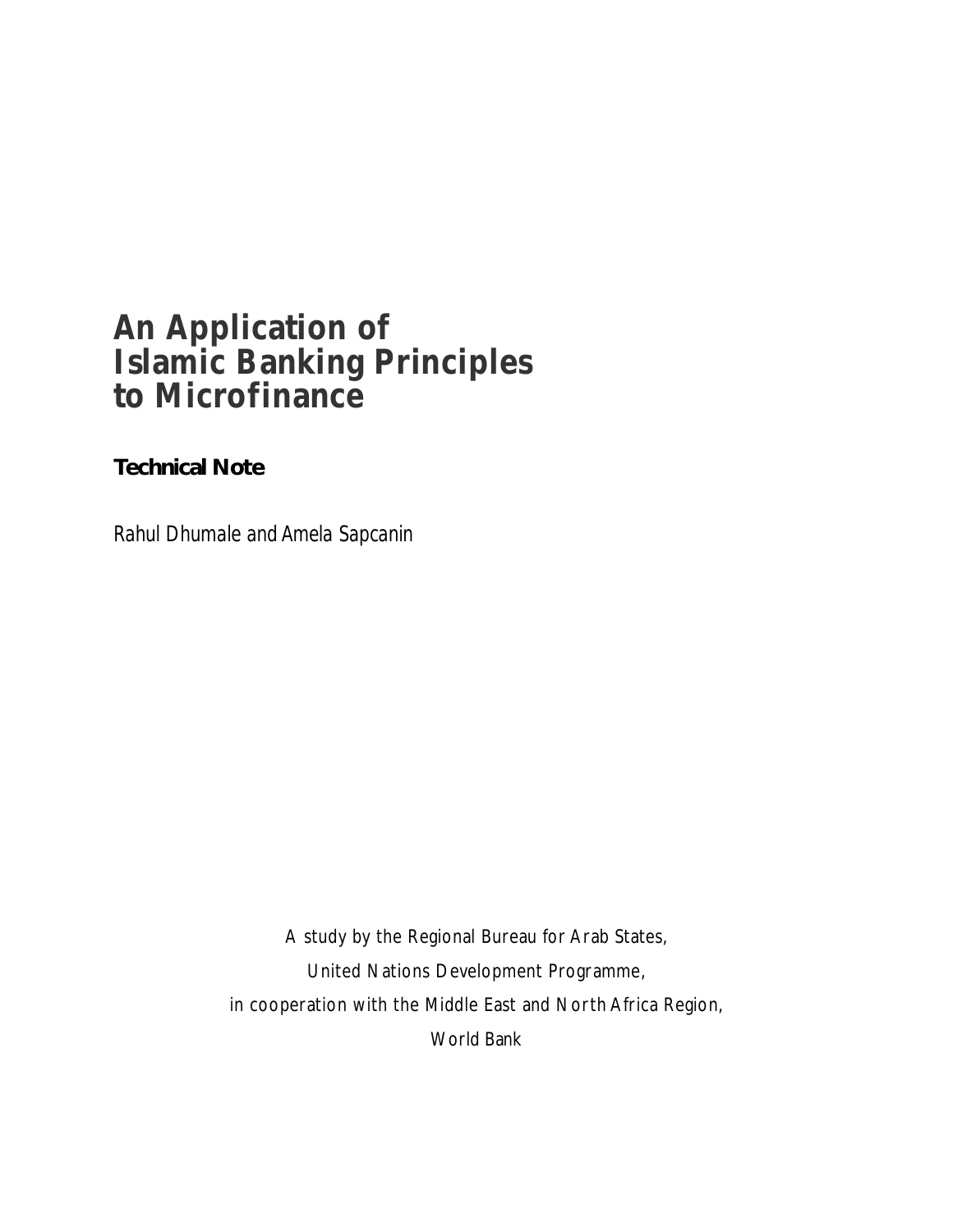# **An Application of Islamic Banking Principles to Microfinance**

## **Technical Note**

*Rahul Dhumale and Amela Sapcanin*

A study by the Regional Bureau for Arab States, United Nations Development Programme, in cooperation with the Middle East and North Africa Region, World Bank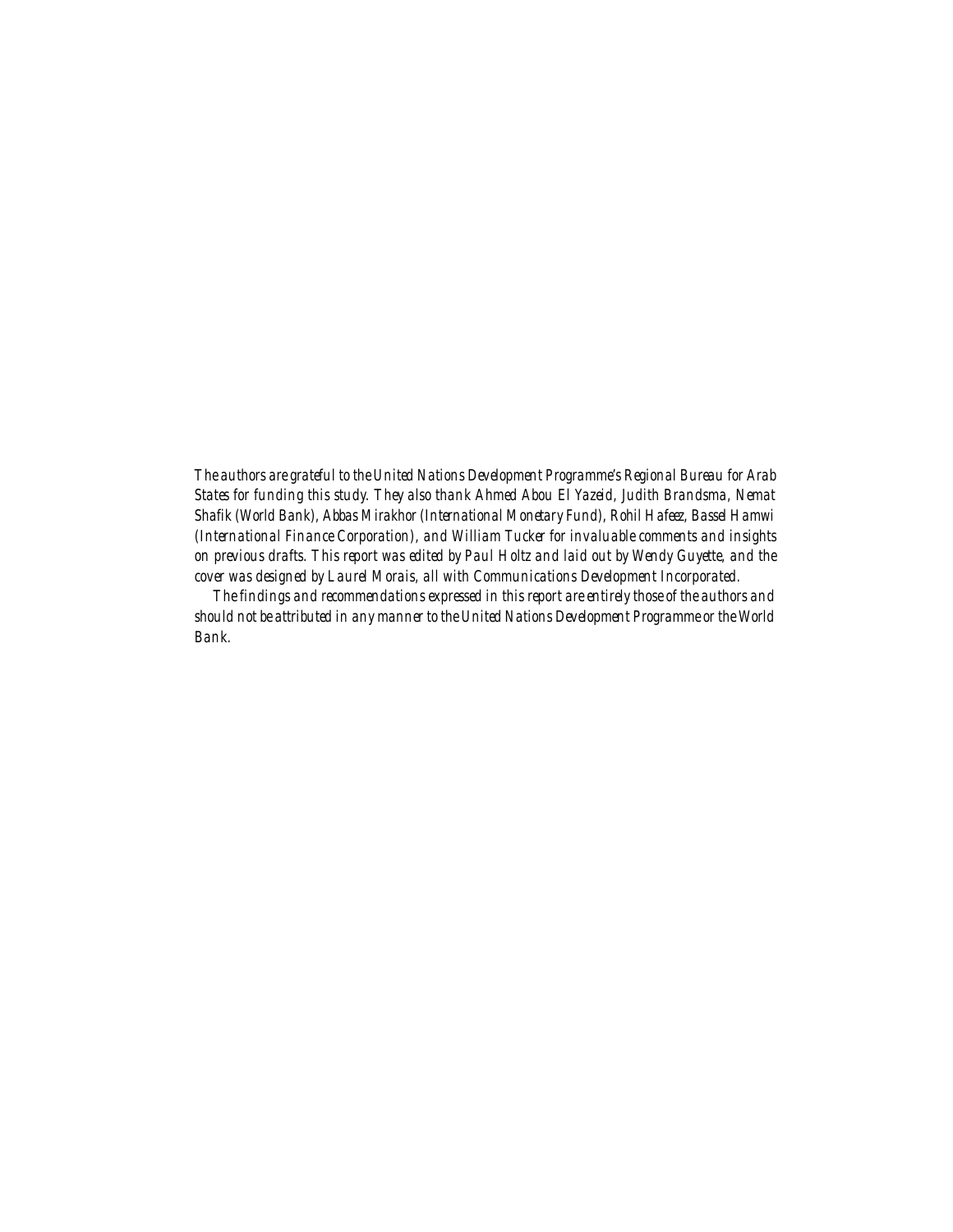*The authors are grateful to the United Nations Development Programme's Regional Bureau for Arab States for funding this study. They also thank Ahmed Abou El Yazeid, Judith Brandsma, Nemat Shafik (World Bank), Abbas Mirakhor (International Monetary Fund), Rohil Hafeez, Bassel Hamwi (International Finance Corporation), and William Tucker for invaluable comments and insights on previous drafts. This report was edited by Paul Holtz and laid out by Wendy Guyette, and the cover was designed by Laurel Morais, all with Communications Development Incorporated.*

*The findings and recommendations expressed in this report are entirely those of the authors and should not be attributed in any manner to the United Nations Development Programme or the World Bank.*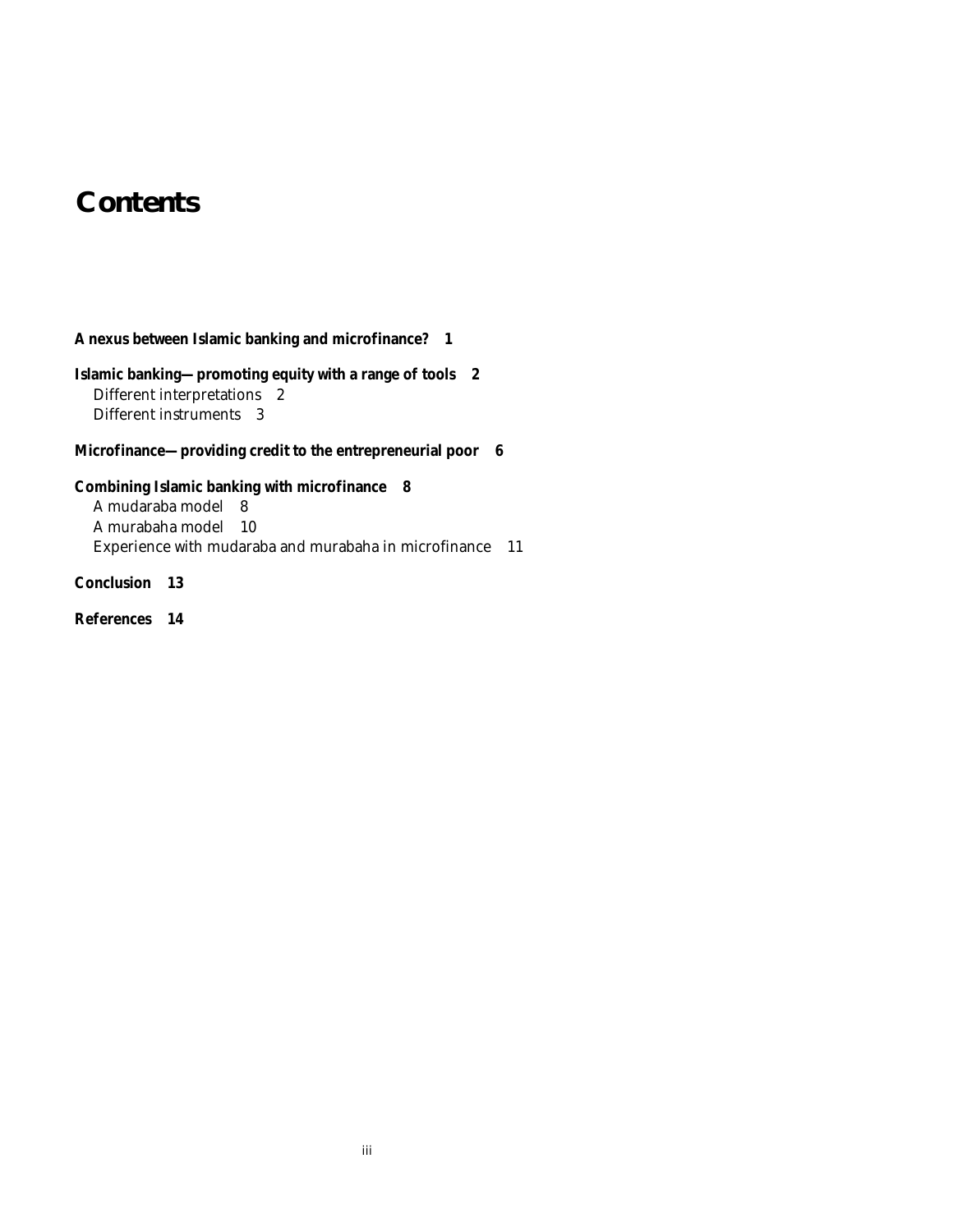# **Contents**

### **A nexus between Islamic banking and microfinance? 1**

### **Islamic banking—promoting equity with a range of tools 2** Different interpretations 2 Different instruments 3

### **Microfinance—providing credit to the entrepreneurial poor 6**

### **Combining Islamic banking with microfinance 8**

A mudaraba model 8 A murabaha model 10 Experience with mudaraba and murabaha in microfinance 11

## **Conclusion 13**

**References 14**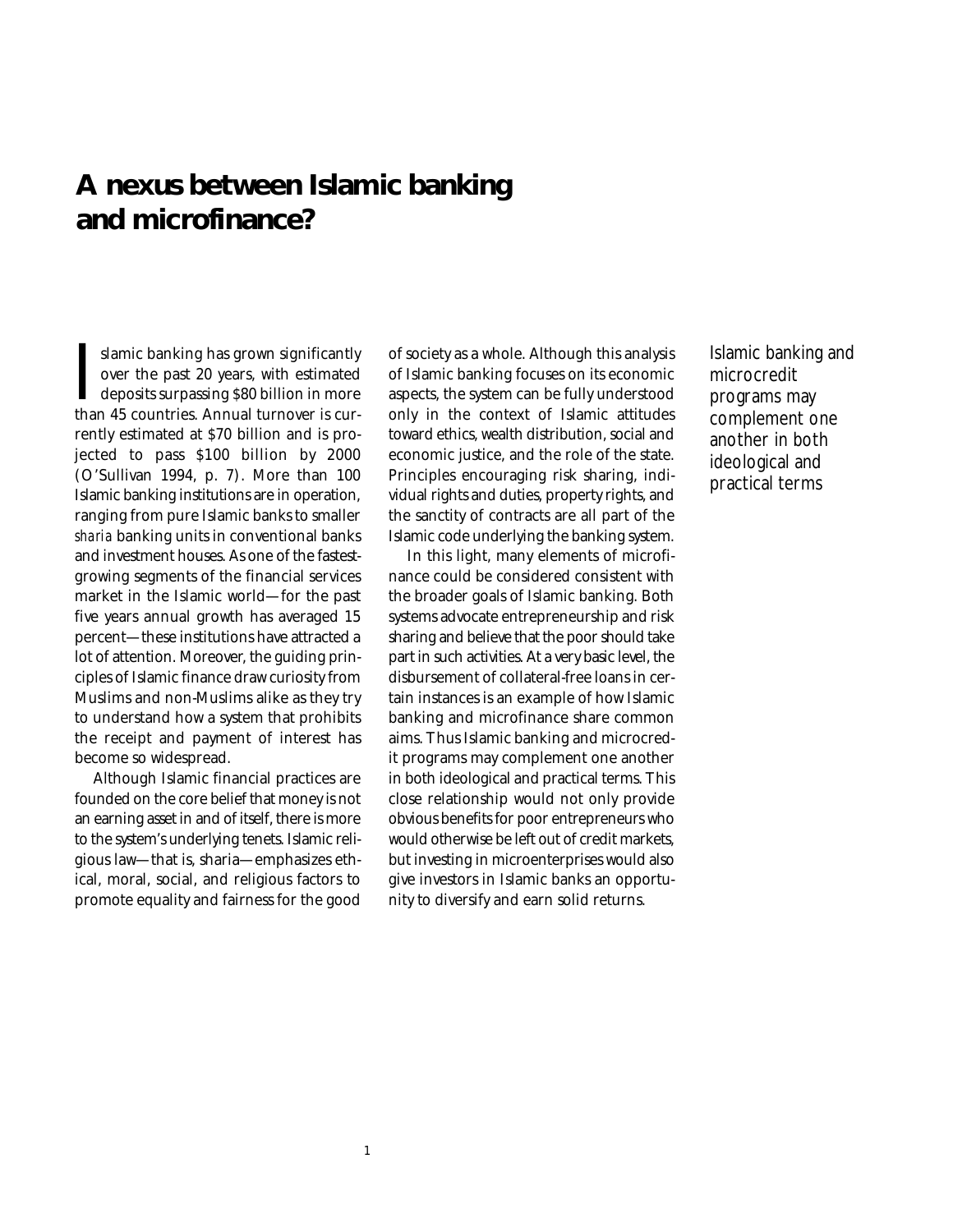## **A nexus between Islamic banking and microfinance?**

Slamic banking has grown significantly<br>over the past 20 years, with estimated<br>deposits surpassing \$80 billion in more<br>than 45 countries. Annual turnover is curslamic banking has grown significantly over the past 20 years, with estimated deposits surpassing \$80 billion in more rently estimated at \$70 billion and is projected to pass \$100 billion by 2000 (O'Sullivan 1994, p. 7). More than 100 Islamic banking institutions are in operation, ranging from pure Islamic banks to smaller *sharia* banking units in conventional banks and investment houses. As one of the fastestgrowing segments of the financial services market in the Islamic world—for the past five years annual growth has averaged 15 percent—these institutions have attracted a lot of attention. Moreover, the guiding principles of Islamic finance draw curiosity from Muslims and non-Muslims alike as they try to understand how a system that prohibits the receipt and payment of interest has become so widespread.

Although Islamic financial practices are founded on the core belief that money is not an earning asset in and of itself, there is more to the system's underlying tenets. Islamic religious law—that is, sharia—emphasizes ethical, moral, social, and religious factors to promote equality and fairness for the good

1

of society as a whole. Although this analysis of Islamic banking focuses on its economic aspects, the system can be fully understood only in the context of Islamic attitudes toward ethics, wealth distribution, social and economic justice, and the role of the state. Principles encouraging risk sharing, individual rights and duties, property rights, and the sanctity of contracts are all part of the Islamic code underlying the banking system.

In this light, many elements of microfinance could be considered consistent with the broader goals of Islamic banking. Both systems advocate entrepreneurship and risk sharing and believe that the poor should take part in such activities. At a very basic level, the disbursement of collateral-free loans in certain instances is an example of how Islamic banking and microfinance share common aims. Thus Islamic banking and microcredit programs may complement one another in both ideological and practical terms. This close relationship would not only provide obvious benefits for poor entrepreneurs who would otherwise be left out of credit markets, but investing in microenterprises would also give investors in Islamic banks an opportunity to diversify and earn solid returns.

Islamic banking and microcredit programs may complement one another in both ideological and practical terms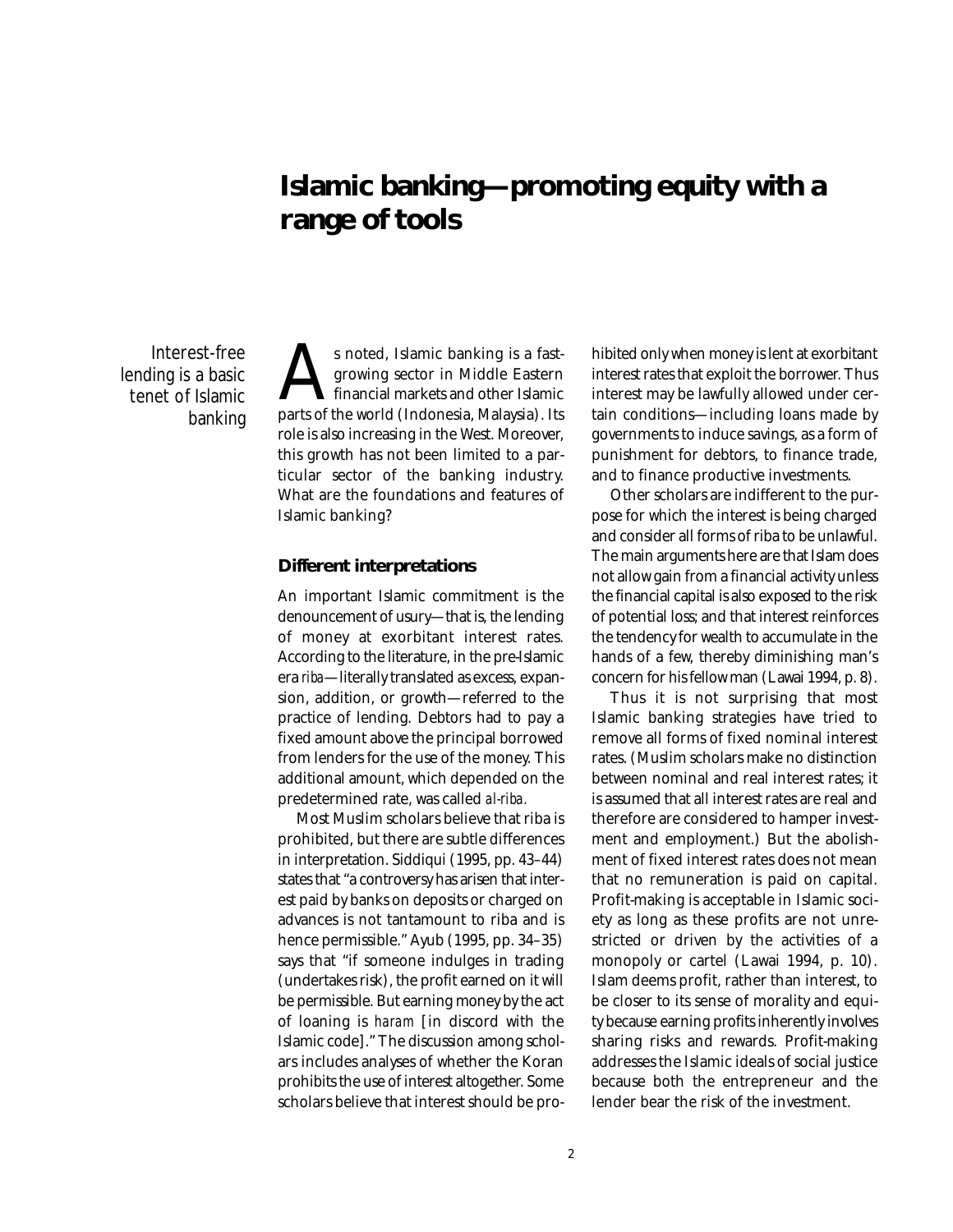## **Islamic banking—promoting equity with a range of tools**

Interest-free lending is a basic tenet of Islamic banking

s noted, Islamic banking is a fast-<br>growing sector in Middle Eastern<br>financial markets and other Islamic<br>parts of the world (Indonesia, Malaysia). Its growing sector in Middle Eastern financial markets and other Islamic role is also increasing in the West. Moreover, this growth has not been limited to a particular sector of the banking industry. What are the foundations and features of Islamic banking?

#### **Different interpretations**

An important Islamic commitment is the denouncement of usury—that is, the lending of money at exorbitant interest rates. According to the literature, in the pre-Islamic era *riba*—literally translated as excess, expansion, addition, or growth—referred to the practice of lending. Debtors had to pay a fixed amount above the principal borrowed from lenders for the use of the money. This additional amount, which depended on the predetermined rate, was called *al-riba.*

Most Muslim scholars believe that riba is prohibited, but there are subtle differences in interpretation. Siddiqui (1995, pp. 43–44) states that "a controversy has arisen that interest paid by banks on deposits or charged on advances is not tantamount to riba and is hence permissible." Ayub (1995, pp. 34–35) says that "if someone indulges in trading (undertakes risk), the profit earned on it will be permissible. But earning money by the act of loaning is *haram* [in discord with the Islamic code]." The discussion among scholars includes analyses of whether the Koran prohibits the use of interest altogether. Some scholars believe that interest should be prohibited only when money is lent at exorbitant interest rates that exploit the borrower. Thus interest may be lawfully allowed under certain conditions—including loans made by governments to induce savings, as a form of punishment for debtors, to finance trade, and to finance productive investments.

Other scholars are indifferent to the purpose for which the interest is being charged and consider all forms of riba to be unlawful. The main arguments here are that Islam does not allow gain from a financial activity unless the financial capital is also exposed to the risk of potential loss; and that interest reinforces the tendency for wealth to accumulate in the hands of a few, thereby diminishing man's concern for his fellow man (Lawai 1994, p. 8).

Thus it is not surprising that most Islamic banking strategies have tried to remove all forms of fixed nominal interest rates. (Muslim scholars make no distinction between nominal and real interest rates; it is assumed that all interest rates are real and therefore are considered to hamper investment and employment.) But the abolishment of fixed interest rates does not mean that no remuneration is paid on capital. Profit-making is acceptable in Islamic society as long as these profits are not unrestricted or driven by the activities of a monopoly or cartel (Lawai 1994, p. 10). Islam deems profit, rather than interest, to be closer to its sense of morality and equity because earning profits inherently involves sharing risks and rewards. Profit-making addresses the Islamic ideals of social justice because both the entrepreneur and the lender bear the risk of the investment.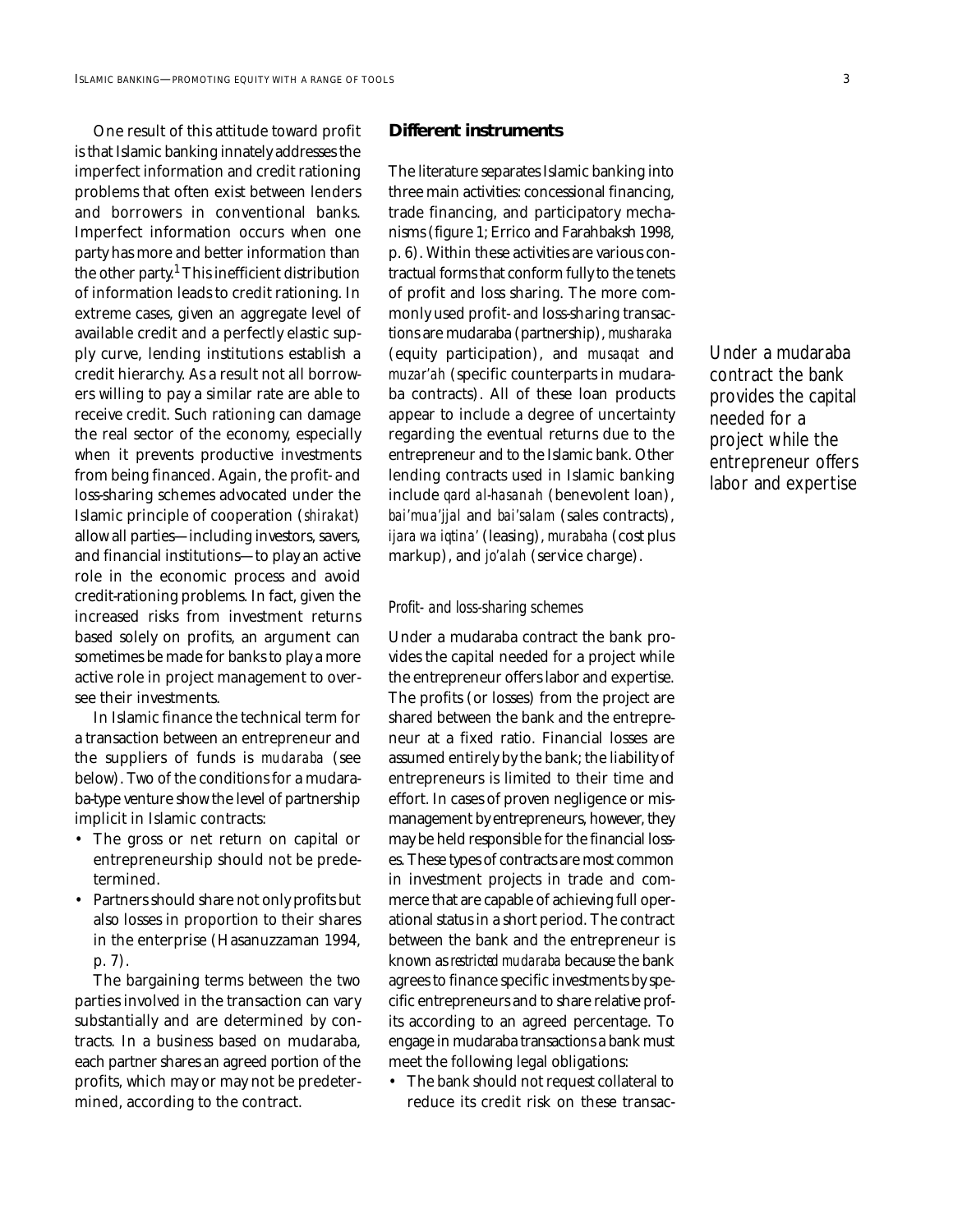One result of this attitude toward profit is that Islamic banking innately addresses the imperfect information and credit rationing problems that often exist between lenders and borrowers in conventional banks. Imperfect information occurs when one party has more and better information than the other party.1 This inefficient distribution of information leads to credit rationing. In extreme cases, given an aggregate level of available credit and a perfectly elastic supply curve, lending institutions establish a credit hierarchy. As a result not all borrowers willing to pay a similar rate are able to receive credit. Such rationing can damage the real sector of the economy, especially when it prevents productive investments from being financed. Again, the profit- and loss-sharing schemes advocated under the Islamic principle of cooperation (*shirakat*) allow all parties—including investors, savers, and financial institutions—to play an active role in the economic process and avoid credit-rationing problems. In fact, given the increased risks from investment returns based solely on profits, an argument can sometimes be made for banks to play a more active role in project management to oversee their investments.

In Islamic finance the technical term for a transaction between an entrepreneur and the suppliers of funds is *mudaraba* (see below). Two of the conditions for a mudaraba-type venture show the level of partnership implicit in Islamic contracts:

- The gross or net return on capital or entrepreneurship should not be predetermined.
- Partners should share not only profits but also losses in proportion to their shares in the enterprise (Hasanuzzaman 1994, p. 7).

The bargaining terms between the two parties involved in the transaction can vary substantially and are determined by contracts. In a business based on mudaraba, each partner shares an agreed portion of the profits, which may or may not be predetermined, according to the contract.

#### **Different instruments**

The literature separates Islamic banking into three main activities: concessional financing, trade financing, and participatory mechanisms (figure 1; Errico and Farahbaksh 1998, p. 6). Within these activities are various contractual forms that conform fully to the tenets of profit and loss sharing. The more commonly used profit- and loss-sharing transactions are mudaraba (partnership), *musharaka* (equity participation), and *musaqat* and *muzar'ah* (specific counterparts in mudaraba contracts). All of these loan products appear to include a degree of uncertainty regarding the eventual returns due to the entrepreneur and to the Islamic bank. Other lending contracts used in Islamic banking include *qard al-hasanah* (benevolent loan), *bai'mua'jjal* and *bai'salam* (sales contracts), *ijara wa iqtina'* (leasing), *murabaha* (cost plus markup), and *jo'alah* (service charge).

#### *Profit- and loss-sharing schemes*

Under a mudaraba contract the bank provides the capital needed for a project while the entrepreneur offers labor and expertise. The profits (or losses) from the project are shared between the bank and the entrepreneur at a fixed ratio. Financial losses are assumed entirely by the bank; the liability of entrepreneurs is limited to their time and effort. In cases of proven negligence or mismanagement by entrepreneurs, however, they may be held responsible for the financial losses. These types of contracts are most common in investment projects in trade and commerce that are capable of achieving full operational status in a short period. The contract between the bank and the entrepreneur is known as *restricted mudaraba* because the bank agrees to finance specific investments by specific entrepreneurs and to share relative profits according to an agreed percentage. To engage in mudaraba transactions a bank must meet the following legal obligations:

• The bank should not request collateral to reduce its credit risk on these transac-

Under a mudaraba contract the bank provides the capital needed for a project while the entrepreneur offers labor and expertise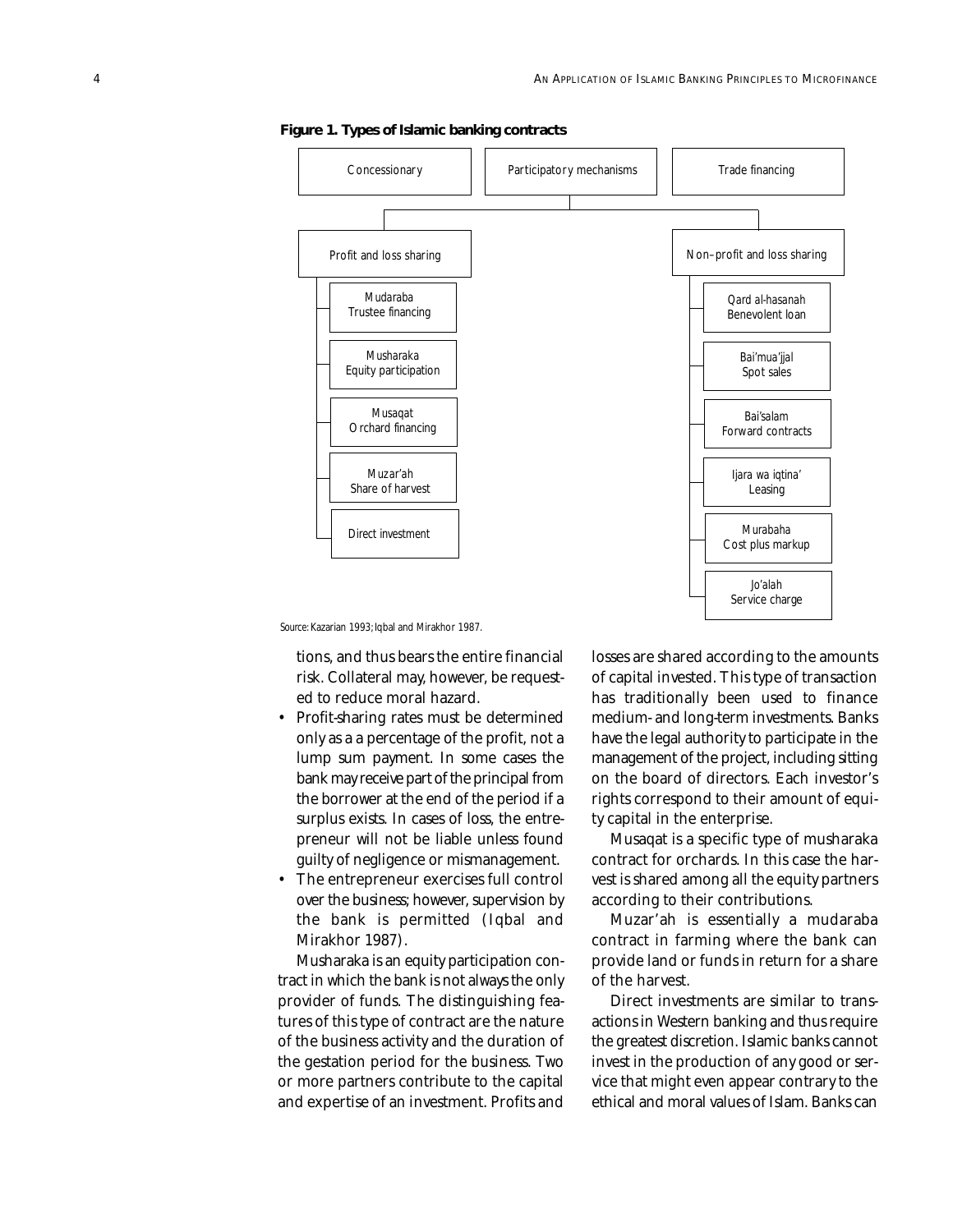

**Figure 1. Types of Islamic banking contracts**

*Source:* Kazarian 1993; Iqbal and Mirakhor 1987.

tions, and thus bears the entire financial risk. Collateral may, however, be requested to reduce moral hazard.

- Profit-sharing rates must be determined only as a a percentage of the profit, not a lump sum payment. In some cases the bank may receive part of the principal from the borrower at the end of the period if a surplus exists. In cases of loss, the entrepreneur will not be liable unless found guilty of negligence or mismanagement.
- The entrepreneur exercises full control over the business; however, supervision by the bank is permitted (Iqbal and Mirakhor 1987).

Musharaka is an equity participation contract in which the bank is not always the only provider of funds. The distinguishing features of this type of contract are the nature of the business activity and the duration of the gestation period for the business. Two or more partners contribute to the capital and expertise of an investment. Profits and

losses are shared according to the amounts of capital invested. This type of transaction has traditionally been used to finance medium- and long-term investments. Banks have the legal authority to participate in the management of the project, including sitting on the board of directors. Each investor's rights correspond to their amount of equity capital in the enterprise.

Musaqat is a specific type of musharaka contract for orchards. In this case the harvest is shared among all the equity partners according to their contributions.

Muzar'ah is essentially a mudaraba contract in farming where the bank can provide land or funds in return for a share of the harvest.

Direct investments are similar to transactions in Western banking and thus require the greatest discretion. Islamic banks cannot invest in the production of any good or service that might even appear contrary to the ethical and moral values of Islam. Banks can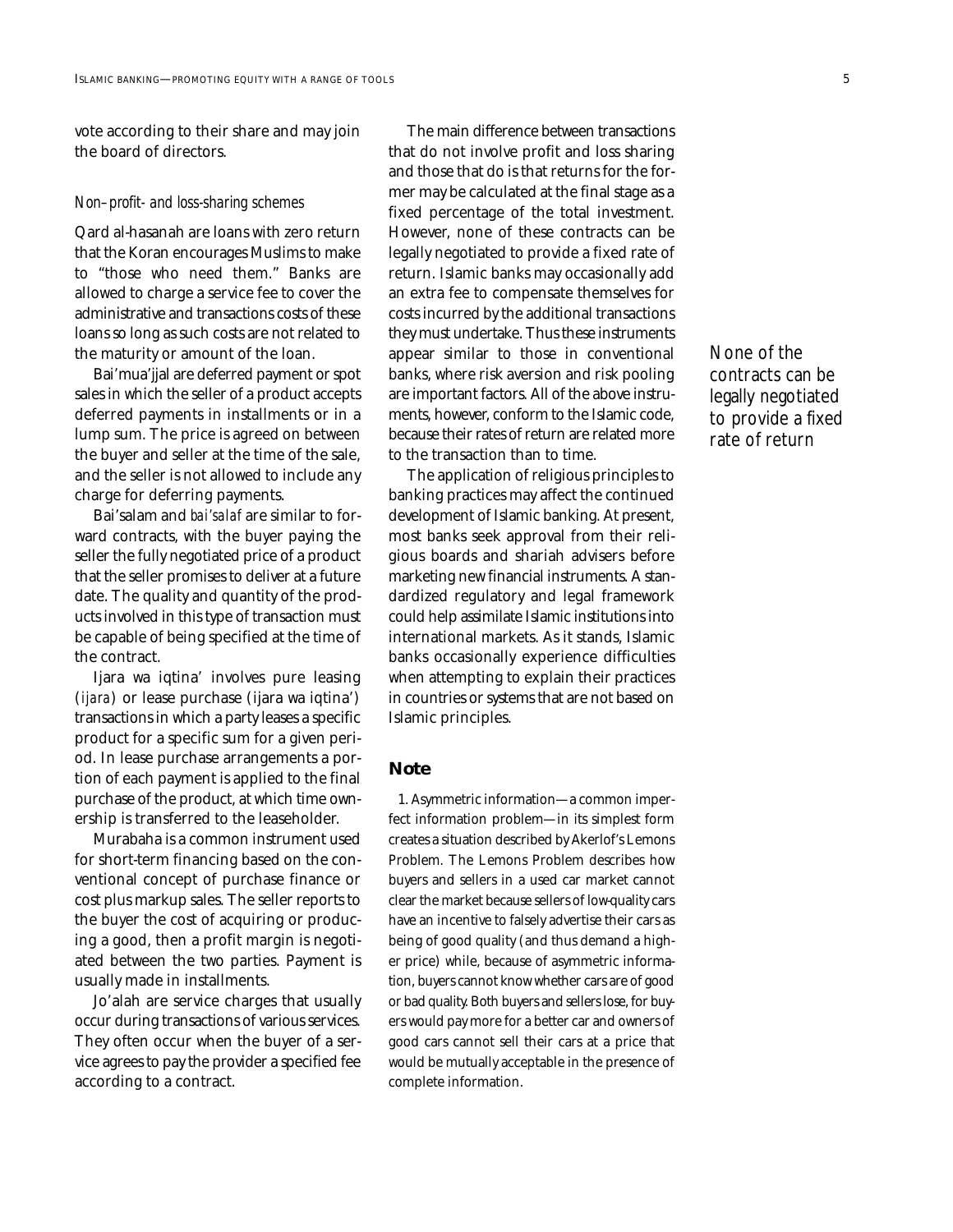vote according to their share and may join the board of directors.

#### *Non–profit- and loss-sharing schemes*

Qard al-hasanah are loans with zero return that the Koran encourages Muslims to make to "those who need them." Banks are allowed to charge a service fee to cover the administrative and transactions costs of these loans so long as such costs are not related to the maturity or amount of the loan.

Bai'mua'jjal are deferred payment or spot sales in which the seller of a product accepts deferred payments in installments or in a lump sum. The price is agreed on between the buyer and seller at the time of the sale, and the seller is not allowed to include any charge for deferring payments.

Bai'salam and *bai'salaf* are similar to forward contracts, with the buyer paying the seller the fully negotiated price of a product that the seller promises to deliver at a future date. The quality and quantity of the products involved in this type of transaction must be capable of being specified at the time of the contract.

Ijara wa iqtina' involves pure leasing (*ijara*) or lease purchase (ijara wa iqtina') transactions in which a party leases a specific product for a specific sum for a given period. In lease purchase arrangements a portion of each payment is applied to the final purchase of the product, at which time ownership is transferred to the leaseholder.

Murabaha is a common instrument used for short-term financing based on the conventional concept of purchase finance or cost plus markup sales. The seller reports to the buyer the cost of acquiring or producing a good, then a profit margin is negotiated between the two parties. Payment is usually made in installments.

Jo'alah are service charges that usually occur during transactions of various services. They often occur when the buyer of a service agrees to pay the provider a specified fee according to a contract.

The main difference between transactions that do not involve profit and loss sharing and those that do is that returns for the former may be calculated at the final stage as a fixed percentage of the total investment. However, none of these contracts can be legally negotiated to provide a fixed rate of return. Islamic banks may occasionally add an extra fee to compensate themselves for costs incurred by the additional transactions they must undertake. Thus these instruments appear similar to those in conventional banks, where risk aversion and risk pooling are important factors. All of the above instruments, however, conform to the Islamic code, because their rates of return are related more to the transaction than to time.

The application of religious principles to banking practices may affect the continued development of Islamic banking. At present, most banks seek approval from their religious boards and shariah advisers before marketing new financial instruments. A standardized regulatory and legal framework could help assimilate Islamic institutions into international markets. As it stands, Islamic banks occasionally experience difficulties when attempting to explain their practices in countries or systems that are not based on Islamic principles.

### **Note**

1. Asymmetric information—a common imperfect information problem—in its simplest form creates a situation described by Akerlof's Lemons Problem. The Lemons Problem describes how buyers and sellers in a used car market cannot clear the market because sellers of low-quality cars have an incentive to falsely advertise their cars as being of good quality (and thus demand a higher price) while, because of asymmetric information, buyers cannot know whether cars are of good or bad quality. Both buyers and sellers lose, for buyers would pay more for a better car and owners of good cars cannot sell their cars at a price that would be mutually acceptable in the presence of complete information.

None of the contracts can be legally negotiated to provide a fixed rate of return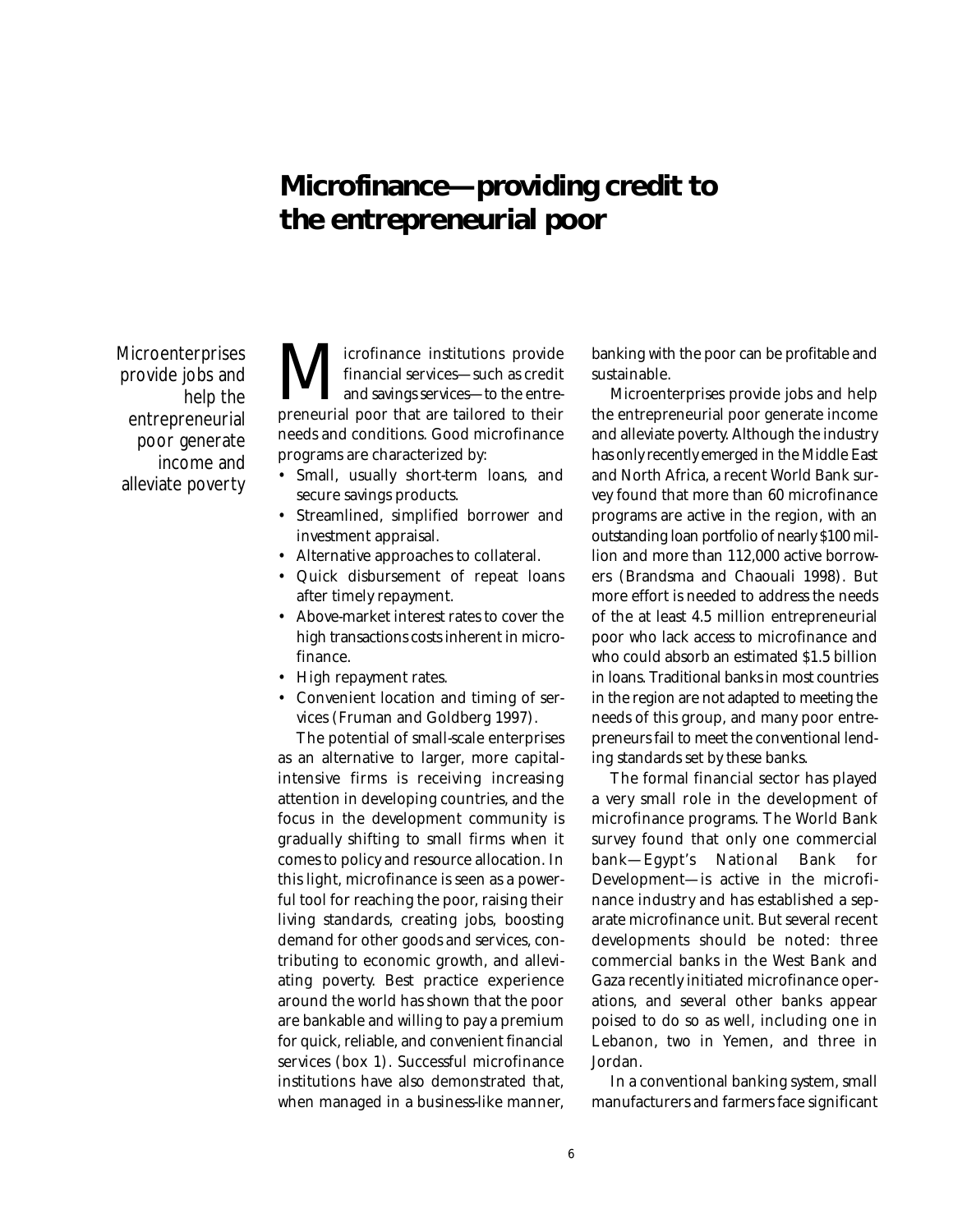## **Microfinance—providing credit to the entrepreneurial poor**

**Microenterprises** provide jobs and help the entrepreneurial poor generate income and alleviate poverty

**M** financial services—such as credit financial services—such as credit preneurial poor that are tailored to their financial services—such as credit and savings services—to the entreneeds and conditions. Good microfinance programs are characterized by:

- Small, usually short-term loans, and secure savings products.
- Streamlined, simplified borrower and investment appraisal.
- Alternative approaches to collateral.
- Quick disbursement of repeat loans after timely repayment.
- Above-market interest rates to cover the high transactions costs inherent in microfinance.
- High repayment rates.
- Convenient location and timing of services (Fruman and Goldberg 1997).

The potential of small-scale enterprises as an alternative to larger, more capitalintensive firms is receiving increasing attention in developing countries, and the focus in the development community is gradually shifting to small firms when it comes to policy and resource allocation. In this light, microfinance is seen as a powerful tool for reaching the poor, raising their living standards, creating jobs, boosting demand for other goods and services, contributing to economic growth, and alleviating poverty. Best practice experience around the world has shown that the poor are bankable and willing to pay a premium for quick, reliable, and convenient financial services (box 1). Successful microfinance institutions have also demonstrated that, when managed in a business-like manner, banking with the poor can be profitable and sustainable.

Microenterprises provide jobs and help the entrepreneurial poor generate income and alleviate poverty. Although the industry has only recently emerged in the Middle East and North Africa, a recent World Bank survey found that more than 60 microfinance programs are active in the region, with an outstanding loan portfolio of nearly \$100 million and more than 112,000 active borrowers (Brandsma and Chaouali 1998). But more effort is needed to address the needs of the at least 4.5 million entrepreneurial poor who lack access to microfinance and who could absorb an estimated \$1.5 billion in loans. Traditional banks in most countries in the region are not adapted to meeting the needs of this group, and many poor entrepreneurs fail to meet the conventional lending standards set by these banks.

The formal financial sector has played a very small role in the development of microfinance programs. The World Bank survey found that only one commercial bank—Egypt's National Bank for Development—is active in the microfinance industry and has established a separate microfinance unit. But several recent developments should be noted: three commercial banks in the West Bank and Gaza recently initiated microfinance operations, and several other banks appear poised to do so as well, including one in Lebanon, two in Yemen, and three in Jordan.

In a conventional banking system, small manufacturers and farmers face significant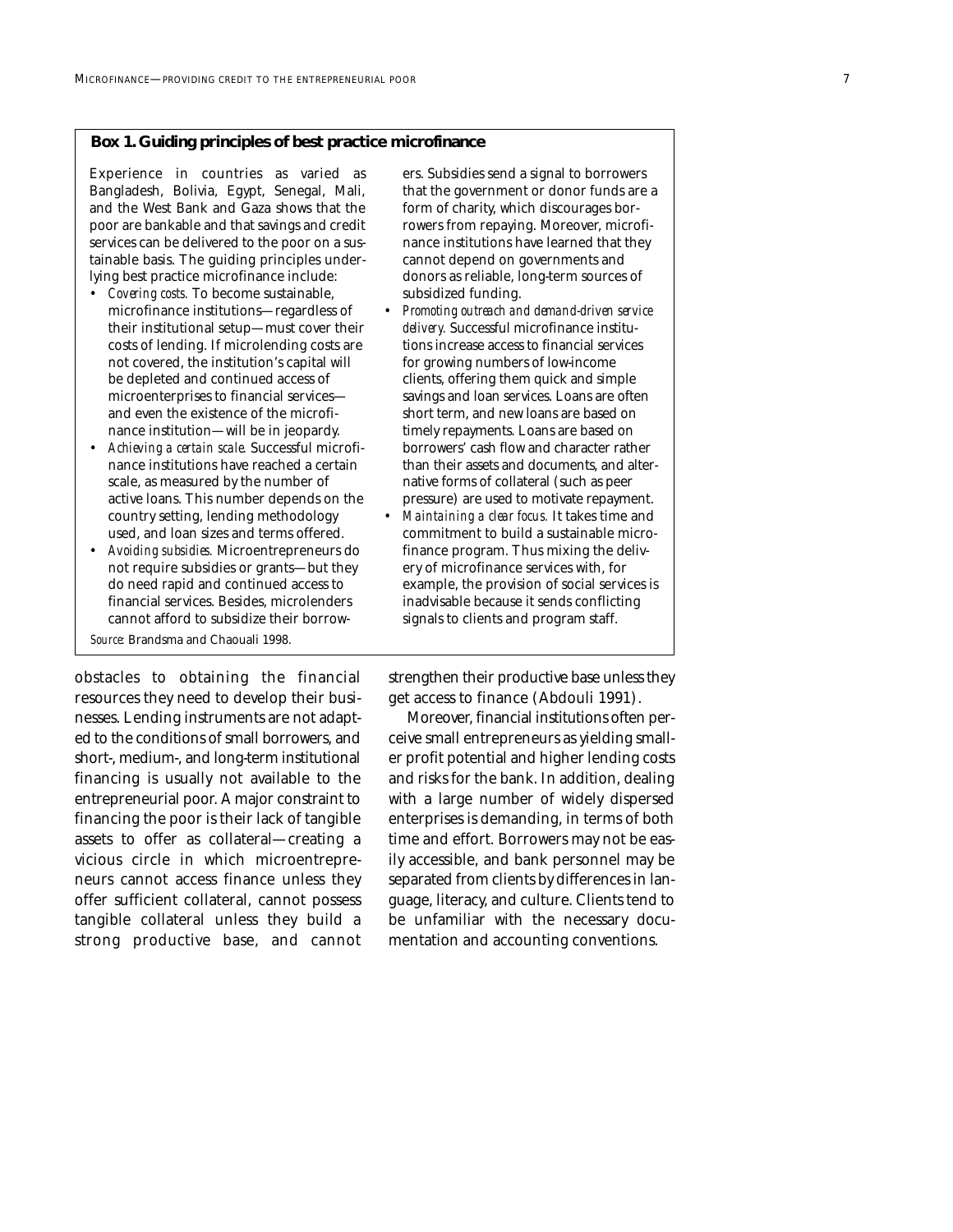#### **Box 1. Guiding principles of best practice microfinance**

Experience in countries as varied as Bangladesh, Bolivia, Egypt, Senegal, Mali, and the West Bank and Gaza shows that the poor are bankable and that savings and credit services can be delivered to the poor on a sustainable basis. The guiding principles underlying best practice microfinance include:

- *Covering costs.* To become sustainable, microfinance institutions—regardless of their institutional setup—must cover their costs of lending. If microlending costs are not covered, the institution's capital will be depleted and continued access of microenterprises to financial services and even the existence of the microfinance institution—will be in jeopardy.
- *Achieving a certain scale.* Successful microfinance institutions have reached a certain scale, as measured by the number of active loans. This number depends on the country setting, lending methodology used, and loan sizes and terms offered.
- *Avoiding subsidies.* Microentrepreneurs do not require subsidies or grants—but they do need rapid and continued access to financial services. Besides, microlenders cannot afford to subsidize their borrow-

*Source:* Brandsma and Chaouali 1998.

obstacles to obtaining the financial resources they need to develop their businesses. Lending instruments are not adapted to the conditions of small borrowers, and short-, medium-, and long-term institutional financing is usually not available to the entrepreneurial poor. A major constraint to financing the poor is their lack of tangible assets to offer as collateral—creating a vicious circle in which microentrepreneurs cannot access finance unless they offer sufficient collateral, cannot possess tangible collateral unless they build a strong productive base, and cannot ers. Subsidies send a signal to borrowers that the government or donor funds are a form of charity, which discourages borrowers from repaying. Moreover, microfinance institutions have learned that they cannot depend on governments and donors as reliable, long-term sources of subsidized funding.

- *Promoting outreach and demand-driven service delivery.* Successful microfinance institutions increase access to financial services for growing numbers of low-income clients, offering them quick and simple savings and loan services. Loans are often short term, and new loans are based on timely repayments. Loans are based on borrowers' cash flow and character rather than their assets and documents, and alternative forms of collateral (such as peer pressure) are used to motivate repayment.
- *Maintaining a clear focus.* It takes time and commitment to build a sustainable microfinance program. Thus mixing the delivery of microfinance services with, for example, the provision of social services is inadvisable because it sends conflicting signals to clients and program staff.

strengthen their productive base unless they get access to finance (Abdouli 1991).

Moreover, financial institutions often perceive small entrepreneurs as yielding smaller profit potential and higher lending costs and risks for the bank. In addition, dealing with a large number of widely dispersed enterprises is demanding, in terms of both time and effort. Borrowers may not be easily accessible, and bank personnel may be separated from clients by differences in language, literacy, and culture. Clients tend to be unfamiliar with the necessary documentation and accounting conventions.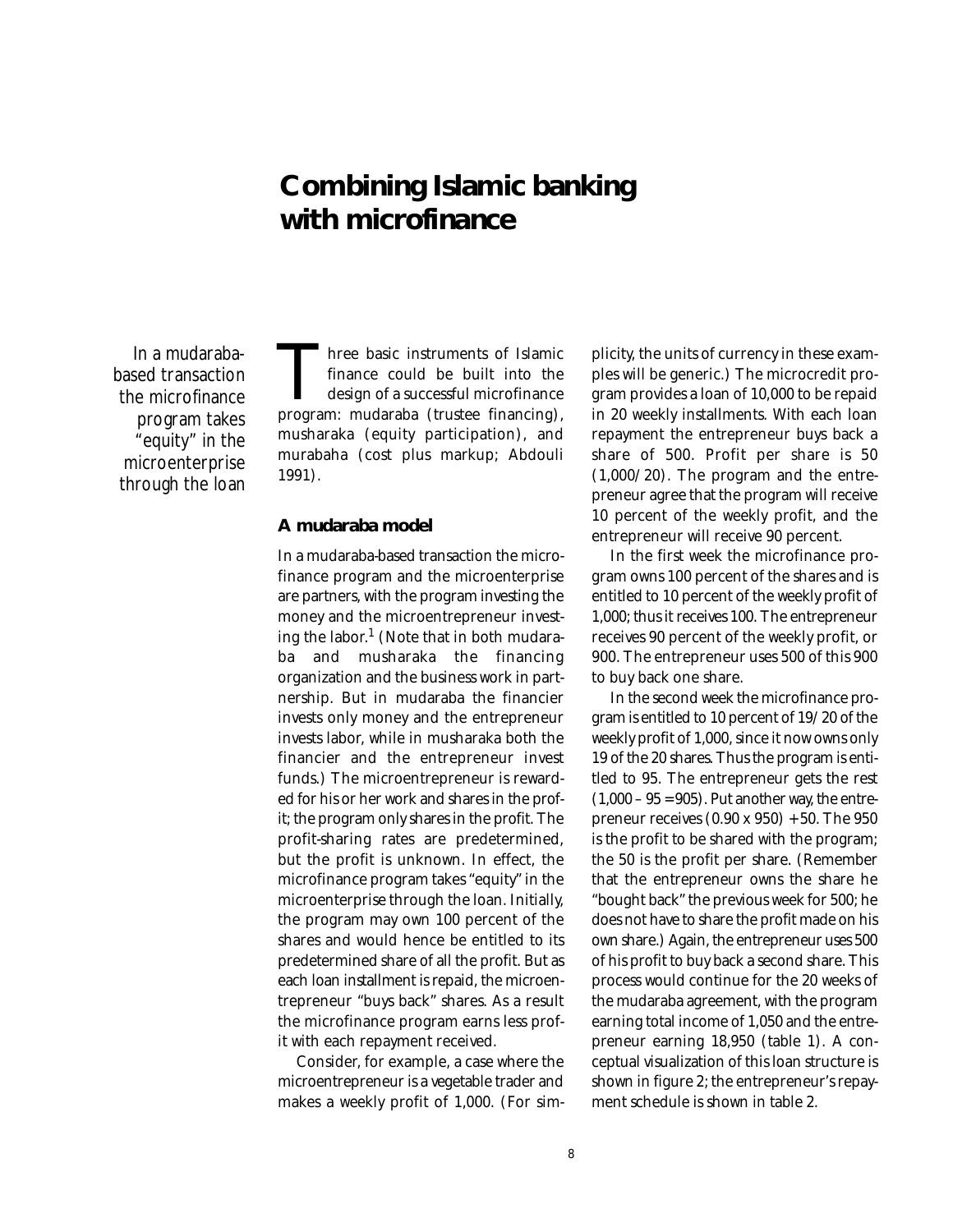## **Combining Islamic banking with microfinance**

In a mudarababased transaction the microfinance program takes "equity" in the microenterprise through the loan

Three basic instruments of Islamic<br>finance could be built into the<br>design of a successful microfinance<br>program: mudaraba (trustee financing), finance could be built into the design of a successful microfinance musharaka (equity participation), and murabaha (cost plus markup; Abdouli 1991).

#### **A mudaraba model**

In a mudaraba-based transaction the microfinance program and the microenterprise are partners, with the program investing the money and the microentrepreneur investing the labor. $1$  (Note that in both mudaraba and musharaka the financing organization and the business work in partnership. But in mudaraba the financier invests only money and the entrepreneur invests labor, while in musharaka both the financier and the entrepreneur invest funds.) The microentrepreneur is rewarded for his or her work and shares in the profit; the program only shares in the profit. The profit-sharing rates are predetermined, but the profit is unknown. In effect, the microfinance program takes "equity" in the microenterprise through the loan. Initially, the program may own 100 percent of the shares and would hence be entitled to its predetermined share of all the profit. But as each loan installment is repaid, the microentrepreneur "buys back" shares. As a result the microfinance program earns less profit with each repayment received.

Consider, for example, a case where the microentrepreneur is a vegetable trader and makes a weekly profit of 1,000. (For simplicity, the units of currency in these examples will be generic.) The microcredit program provides a loan of 10,000 to be repaid in 20 weekly installments. With each loan repayment the entrepreneur buys back a share of 500. Profit per share is 50 (1,000/20). The program and the entrepreneur agree that the program will receive 10 percent of the weekly profit, and the entrepreneur will receive 90 percent.

In the first week the microfinance program owns 100 percent of the shares and is entitled to 10 percent of the weekly profit of 1,000; thus it receives 100. The entrepreneur receives 90 percent of the weekly profit, or 900. The entrepreneur uses 500 of this 900 to buy back one share.

In the second week the microfinance program is entitled to 10 percent of 19/20 of the weekly profit of 1,000, since it now owns only 19 of the 20 shares. Thus the program is entitled to 95. The entrepreneur gets the rest  $(1,000 - 95 = 905)$ . Put another way, the entrepreneur receives (0.90 x 950) + 50. The 950 is the profit to be shared with the program; the 50 is the profit per share. (Remember that the entrepreneur owns the share he "bought back" the previous week for 500; he does not have to share the profit made on his own share.) Again, the entrepreneur uses 500 of his profit to buy back a second share. This process would continue for the 20 weeks of the mudaraba agreement, with the program earning total income of 1,050 and the entrepreneur earning 18,950 (table 1). A conceptual visualization of this loan structure is shown in figure 2; the entrepreneur's repayment schedule is shown in table 2.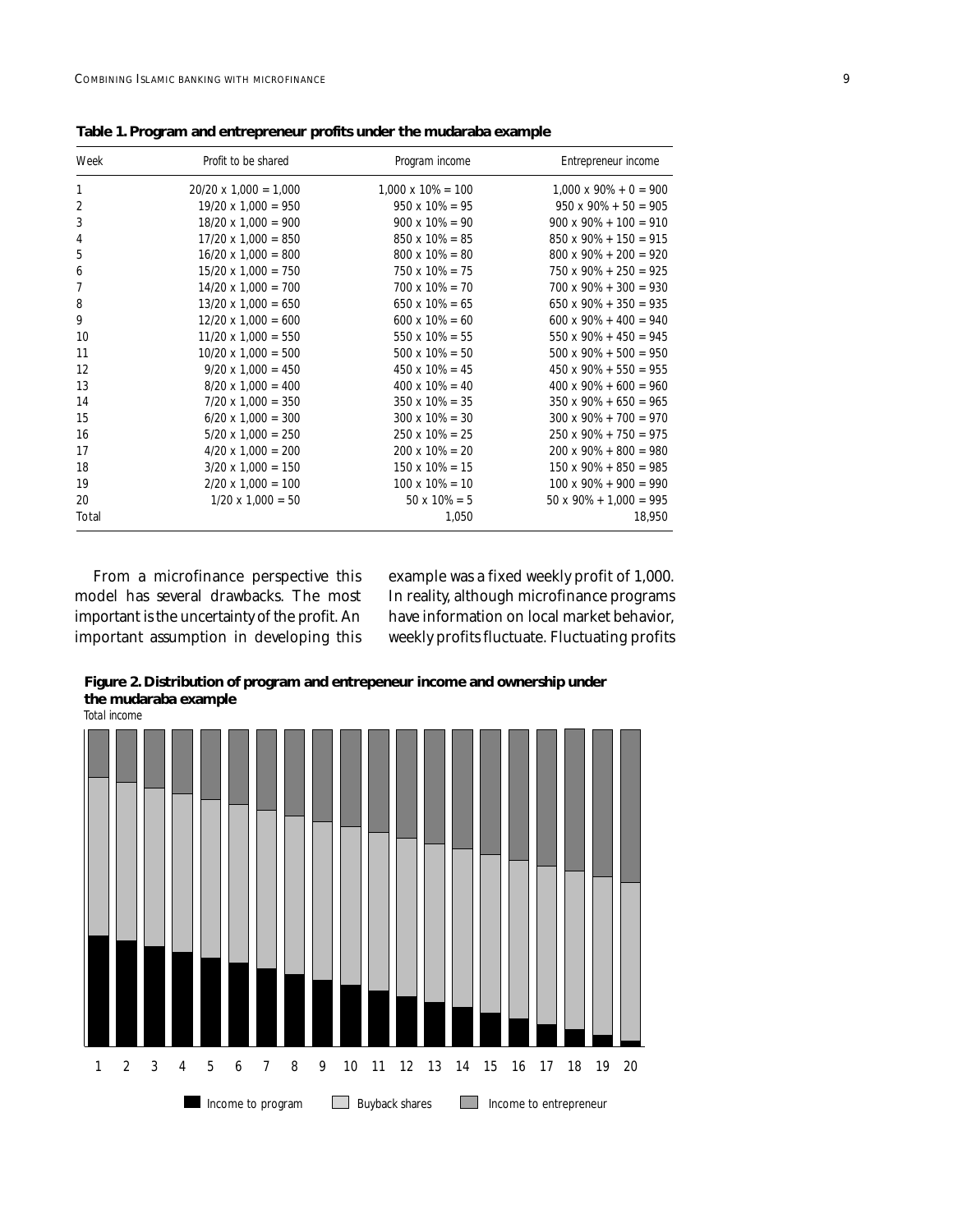| Week           | Profit to be shared          | Program income            | Entrepreneur income            |
|----------------|------------------------------|---------------------------|--------------------------------|
| $\mathbf{1}$   | $20/20 \times 1,000 = 1,000$ | $1,000 \times 10\% = 100$ | $1,000 \times 90\% + 0 = 900$  |
| 2              | $19/20 \times 1,000 = 950$   | $950 \times 10\% = 95$    | $950 \times 90\% + 50 = 905$   |
| 3              | $18/20 \times 1,000 = 900$   | $900 \times 10\% = 90$    | $900 \times 90\% + 100 = 910$  |
| 4              | $17/20 \times 1,000 = 850$   | $850 \times 10\% = 85$    | $850 \times 90\% + 150 = 915$  |
| 5              | $16/20 \times 1,000 = 800$   | $800 \times 10\% = 80$    | $800 \times 90\% + 200 = 920$  |
| 6              | $15/20 \times 1,000 = 750$   | $750 \times 10\% = 75$    | $750 \times 90\% + 250 = 925$  |
| $\overline{7}$ | $14/20 \times 1,000 = 700$   | $700 \times 10\% = 70$    | $700 \times 90\% + 300 = 930$  |
| 8              | $13/20 \times 1,000 = 650$   | $650 \times 10\% = 65$    | $650 \times 90\% + 350 = 935$  |
| 9              | $12/20 \times 1,000 = 600$   | $600 \times 10\% = 60$    | $600 \times 90\% + 400 = 940$  |
| 10             | $11/20 \times 1,000 = 550$   | $550 \times 10\% = 55$    | $550 \times 90\% + 450 = 945$  |
| 11             | $10/20 \times 1,000 = 500$   | $500 \times 10\% = 50$    | $500 \times 90\% + 500 = 950$  |
| 12             | $9/20 \times 1,000 = 450$    | $450 \times 10\% = 45$    | $450 \times 90\% + 550 = 955$  |
| 13             | $8/20 \times 1,000 = 400$    | $400 \times 10\% = 40$    | $400 \times 90\% + 600 = 960$  |
| 14             | $7/20 \times 1,000 = 350$    | $350 \times 10\% = 35$    | $350 \times 90\% + 650 = 965$  |
| 15             | $6/20 \times 1,000 = 300$    | $300 \times 10\% = 30$    | $300 \times 90\% + 700 = 970$  |
| 16             | $5/20 \times 1,000 = 250$    | $250 \times 10\% = 25$    | $250 \times 90\% + 750 = 975$  |
| 17             | $4/20 \times 1,000 = 200$    | $200 \times 10\% = 20$    | $200 \times 90\% + 800 = 980$  |
| 18             | $3/20 \times 1,000 = 150$    | $150 \times 10\% = 15$    | $150 \times 90\% + 850 = 985$  |
| 19             | $2/20 \times 1,000 = 100$    | $100 \times 10\% = 10$    | $100 \times 90\% + 900 = 990$  |
| 20             | $1/20 \times 1,000 = 50$     | $50 \times 10\% = 5$      | $50 \times 90\% + 1,000 = 995$ |
| Total          |                              | 1,050                     | 18,950                         |

**Table 1. Program and entrepreneur profits under the mudaraba example**

From a microfinance perspective this model has several drawbacks. The most important is the uncertainty of the profit. An important assumption in developing this

example was a fixed weekly profit of 1,000. In reality, although microfinance programs have information on local market behavior, weekly profits fluctuate. Fluctuating profits

**Figure 2. Distribution of program and entrepeneur income and ownership under the mudaraba example**

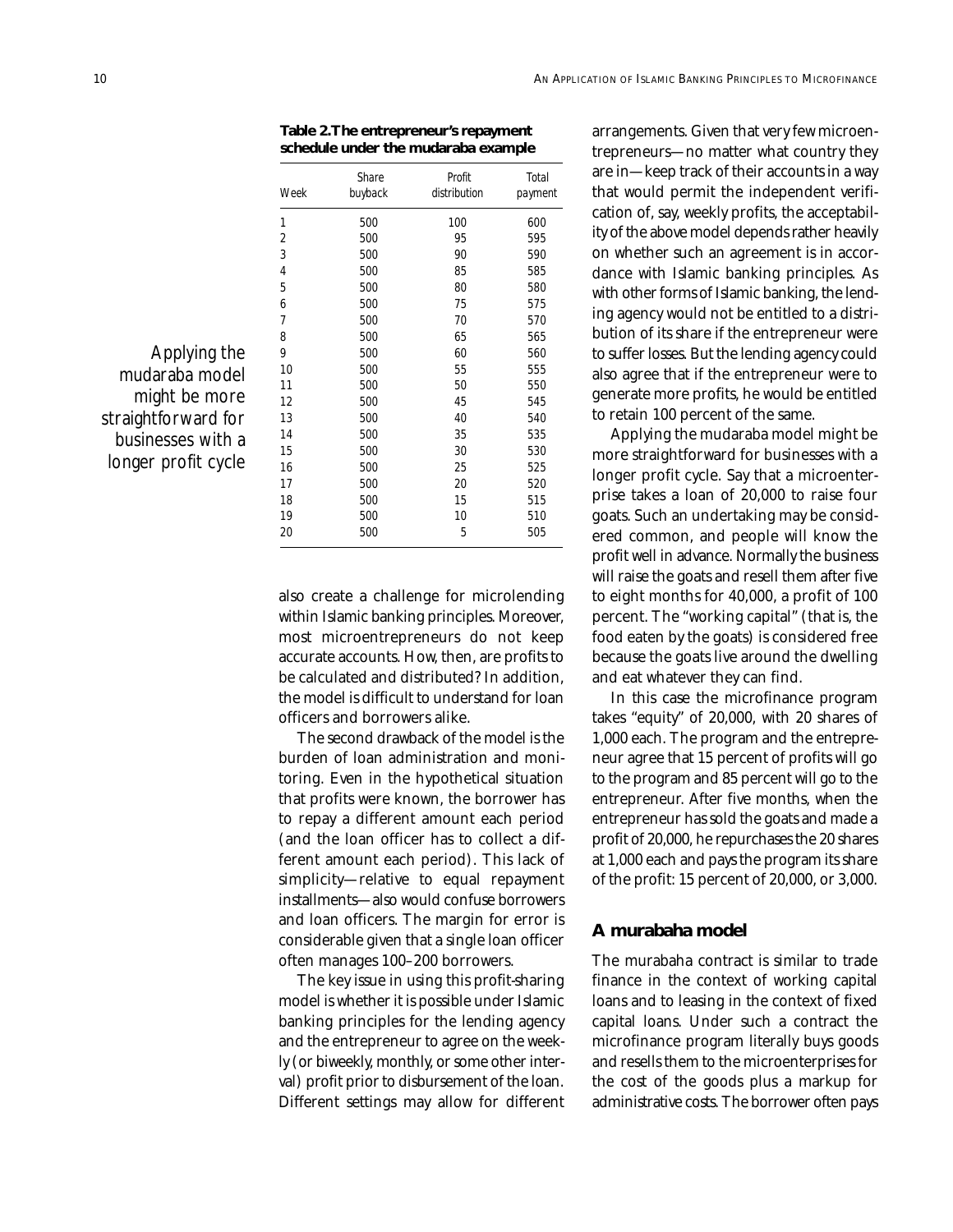**Table 2.The entrepreneur's repayment schedule under the mudaraba example**

| Week | Share<br>buyback | Profit<br>distribution | Total<br>payment |
|------|------------------|------------------------|------------------|
| 1    | 500              | 100                    | 600              |
| 2    | 500              | 95                     | 595              |
| 3    | 500              | 90                     | 590              |
| 4    | 500              | 85                     | 585              |
| 5    | 500              | 80                     | 580              |
| 6    | 500              | 75                     | 575              |
| 7    | 500              | 70                     | 570              |
| 8    | 500              | 65                     | 565              |
| 9    | 500              | 60                     | 560              |
| 10   | 500              | 55                     | 555              |
| 11   | 500              | 50                     | 550              |
| 12   | 500              | 45                     | 545              |
| 13   | 500              | 40                     | 540              |
| 14   | 500              | 35                     | 535              |
| 15   | 500              | 30                     | 530              |
| 16   | 500              | 25                     | 525              |
| 17   | 500              | 20                     | 520              |
| 18   | 500              | 15                     | 515              |
| 19   | 500              | 10                     | 510              |
| 20   | 500              | 5                      | 505              |

Applying the mudaraba model might be more straightforward for businesses with a longer profit cycle

> also create a challenge for microlending within Islamic banking principles. Moreover, most microentrepreneurs do not keep accurate accounts. How, then, are profits to be calculated and distributed? In addition, the model is difficult to understand for loan officers and borrowers alike.

> The second drawback of the model is the burden of loan administration and monitoring. Even in the hypothetical situation that profits were known, the borrower has to repay a different amount each period (and the loan officer has to collect a different amount each period). This lack of simplicity—relative to equal repayment installments—also would confuse borrowers and loan officers. The margin for error is considerable given that a single loan officer often manages 100–200 borrowers.

> The key issue in using this profit-sharing model is whether it is possible under Islamic banking principles for the lending agency and the entrepreneur to agree on the weekly (or biweekly, monthly, or some other interval) profit prior to disbursement of the loan. Different settings may allow for different

arrangements. Given that very few microentrepreneurs—no matter what country they are in—keep track of their accounts in a way that would permit the independent verification of, say, weekly profits, the acceptability of the above model depends rather heavily on whether such an agreement is in accordance with Islamic banking principles. As with other forms of Islamic banking, the lending agency would not be entitled to a distribution of its share if the entrepreneur were to suffer losses. But the lending agency could also agree that if the entrepreneur were to generate more profits, he would be entitled to retain 100 percent of the same.

Applying the mudaraba model might be more straightforward for businesses with a longer profit cycle. Say that a microenterprise takes a loan of 20,000 to raise four goats. Such an undertaking may be considered common, and people will know the profit well in advance. Normally the business will raise the goats and resell them after five to eight months for 40,000, a profit of 100 percent. The "working capital" (that is, the food eaten by the goats) is considered free because the goats live around the dwelling and eat whatever they can find.

In this case the microfinance program takes "equity" of 20,000, with 20 shares of 1,000 each. The program and the entrepreneur agree that 15 percent of profits will go to the program and 85 percent will go to the entrepreneur. After five months, when the entrepreneur has sold the goats and made a profit of 20,000, he repurchases the 20 shares at 1,000 each and pays the program its share of the profit: 15 percent of 20,000, or 3,000.

#### **A murabaha model**

The murabaha contract is similar to trade finance in the context of working capital loans and to leasing in the context of fixed capital loans. Under such a contract the microfinance program literally buys goods and resells them to the microenterprises for the cost of the goods plus a markup for administrative costs. The borrower often pays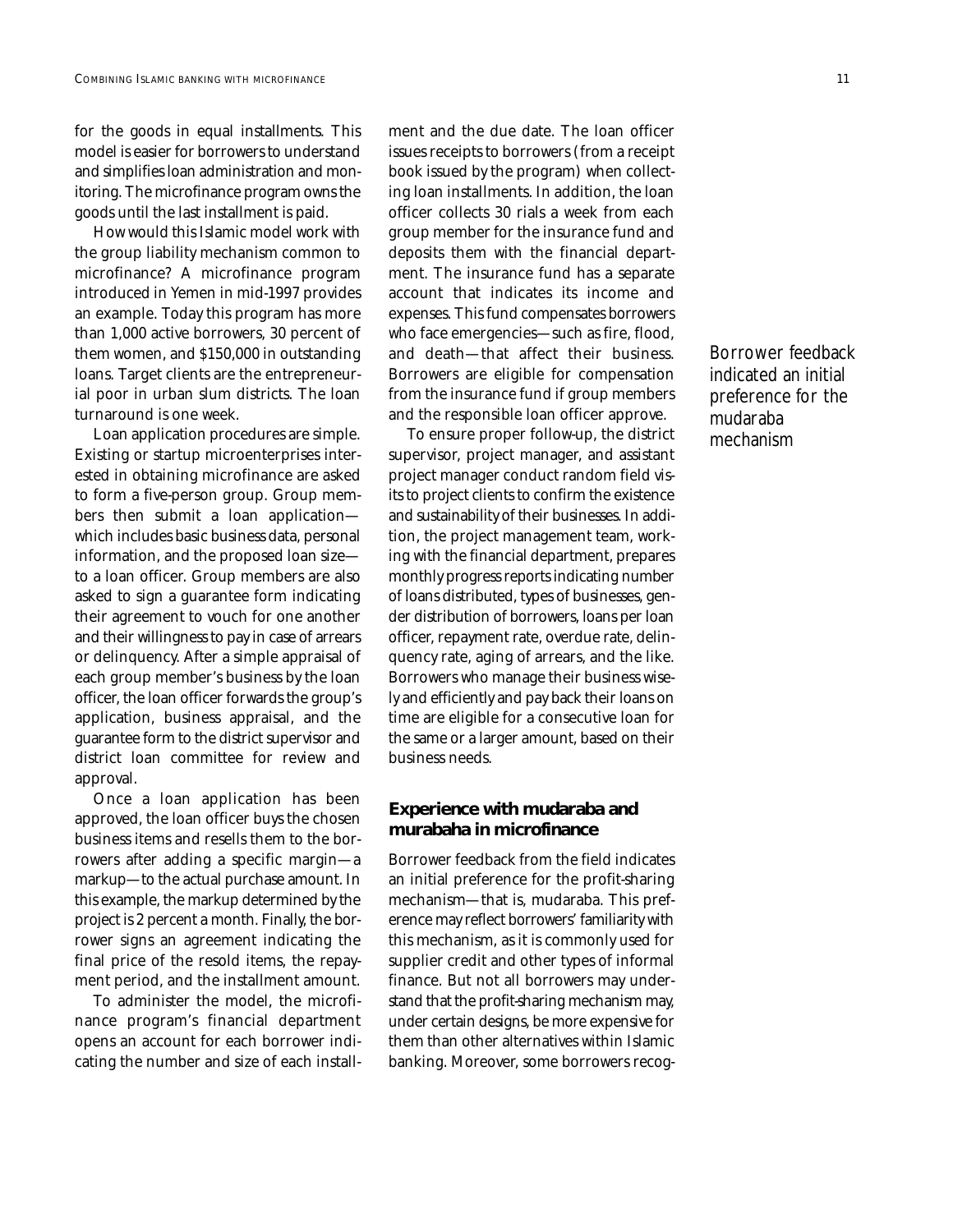for the goods in equal installments. This model is easier for borrowers to understand and simplifies loan administration and monitoring. The microfinance program owns the goods until the last installment is paid.

How would this Islamic model work with the group liability mechanism common to microfinance? A microfinance program introduced in Yemen in mid-1997 provides an example. Today this program has more than 1,000 active borrowers, 30 percent of them women, and \$150,000 in outstanding loans. Target clients are the entrepreneurial poor in urban slum districts. The loan turnaround is one week.

Loan application procedures are simple. Existing or startup microenterprises interested in obtaining microfinance are asked to form a five-person group. Group members then submit a loan application which includes basic business data, personal information, and the proposed loan size to a loan officer. Group members are also asked to sign a guarantee form indicating their agreement to vouch for one another and their willingness to pay in case of arrears or delinquency. After a simple appraisal of each group member's business by the loan officer, the loan officer forwards the group's application, business appraisal, and the guarantee form to the district supervisor and district loan committee for review and approval.

Once a loan application has been approved, the loan officer buys the chosen business items and resells them to the borrowers after adding a specific margin—a markup—to the actual purchase amount. In this example, the markup determined by the project is 2 percent a month. Finally, the borrower signs an agreement indicating the final price of the resold items, the repayment period, and the installment amount.

To administer the model, the microfinance program's financial department opens an account for each borrower indicating the number and size of each installment and the due date. The loan officer issues receipts to borrowers (from a receipt book issued by the program) when collecting loan installments. In addition, the loan officer collects 30 rials a week from each group member for the insurance fund and deposits them with the financial department. The insurance fund has a separate account that indicates its income and expenses. This fund compensates borrowers who face emergencies—such as fire, flood, and death—that affect their business. Borrowers are eligible for compensation from the insurance fund if group members and the responsible loan officer approve.

To ensure proper follow-up, the district supervisor, project manager, and assistant project manager conduct random field visits to project clients to confirm the existence and sustainability of their businesses. In addition, the project management team, working with the financial department, prepares monthly progress reports indicating number of loans distributed, types of businesses, gender distribution of borrowers, loans per loan officer, repayment rate, overdue rate, delinquency rate, aging of arrears, and the like. Borrowers who manage their business wisely and efficiently and pay back their loans on time are eligible for a consecutive loan for the same or a larger amount, based on their business needs.

### **Experience with mudaraba and murabaha in microfinance**

Borrower feedback from the field indicates an initial preference for the profit-sharing mechanism—that is, mudaraba. This preference may reflect borrowers' familiarity with this mechanism, as it is commonly used for supplier credit and other types of informal finance. But not all borrowers may understand that the profit-sharing mechanism may, under certain designs, be more expensive for them than other alternatives within Islamic banking. Moreover, some borrowers recog-

Borrower feedback indicated an initial preference for the mudaraba mechanism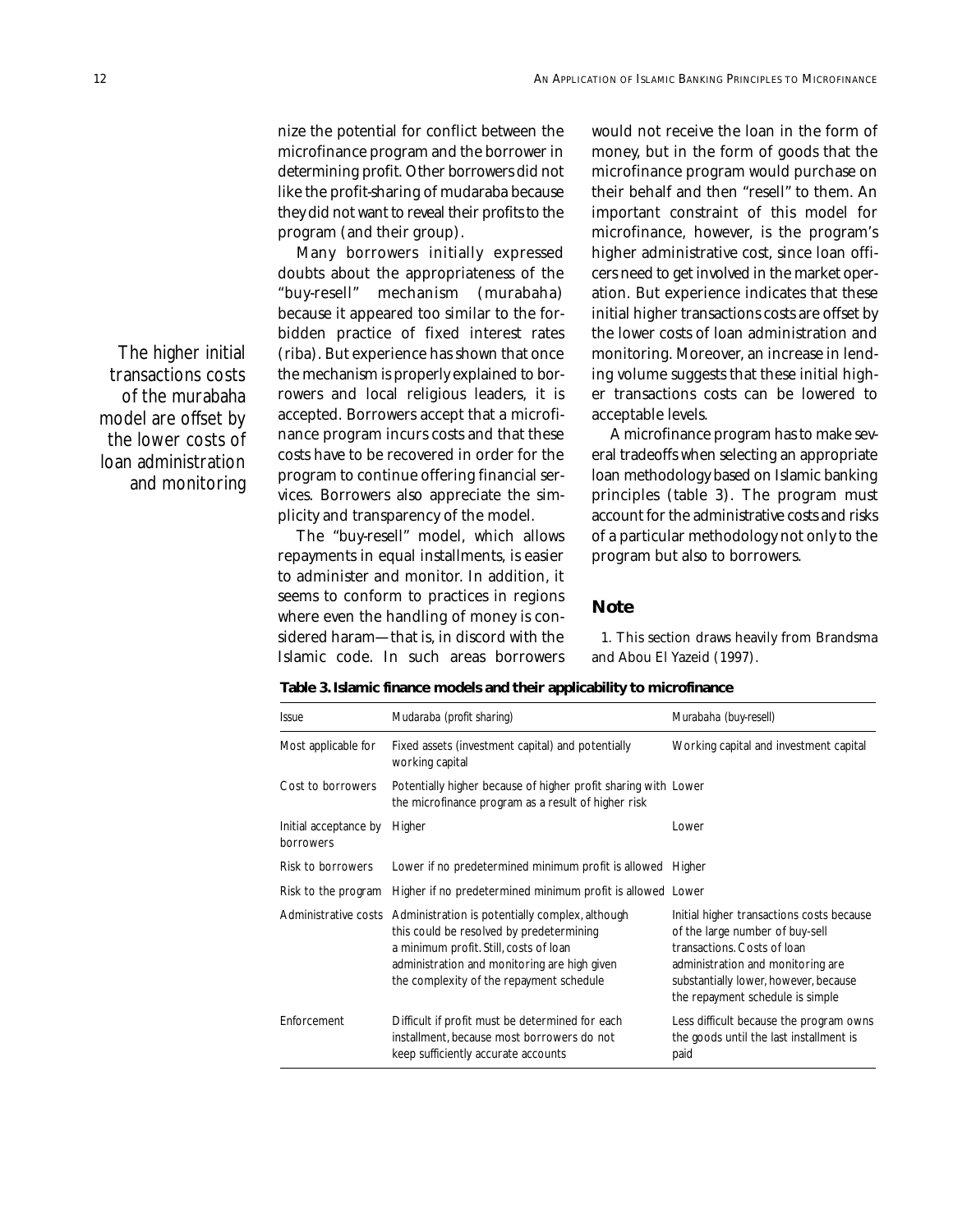nize the potential for conflict between the microfinance program and the borrower in determining profit. Other borrowers did not like the profit-sharing of mudaraba because they did not want to reveal their profits to the program (and their group).

Many borrowers initially expressed doubts about the appropriateness of the "buy-resell" mechanism (murabaha) because it appeared too similar to the forbidden practice of fixed interest rates (riba). But experience has shown that once the mechanism is properly explained to borrowers and local religious leaders, it is accepted. Borrowers accept that a microfinance program incurs costs and that these costs have to be recovered in order for the program to continue offering financial services. Borrowers also appreciate the simplicity and transparency of the model.

The "buy-resell" model, which allows repayments in equal installments, is easier to administer and monitor. In addition, it seems to conform to practices in regions where even the handling of money is considered haram—that is, in discord with the Islamic code. In such areas borrowers would not receive the loan in the form of money, but in the form of goods that the microfinance program would purchase on their behalf and then "resell" to them. An important constraint of this model for microfinance, however, is the program's higher administrative cost, since loan officers need to get involved in the market operation. But experience indicates that these initial higher transactions costs are offset by the lower costs of loan administration and monitoring. Moreover, an increase in lending volume suggests that these initial higher transactions costs can be lowered to acceptable levels.

A microfinance program has to make several tradeoffs when selecting an appropriate loan methodology based on Islamic banking principles (table 3). The program must account for the administrative costs and risks of a particular methodology not only to the program but also to borrowers.

### **Note**

1. This section draws heavily from Brandsma and Abou El Yazeid (1997).

**Table 3. Islamic finance models and their applicability to microfinance**

| <i><u><b>Issue</b></u></i>         | Mudaraba (profit sharing)                                                                                                                                                                                                                              | Murabaha (buy-resell)                                                                                                                                                                                                         |
|------------------------------------|--------------------------------------------------------------------------------------------------------------------------------------------------------------------------------------------------------------------------------------------------------|-------------------------------------------------------------------------------------------------------------------------------------------------------------------------------------------------------------------------------|
| Most applicable for                | Fixed assets (investment capital) and potentially<br>working capital                                                                                                                                                                                   | Working capital and investment capital                                                                                                                                                                                        |
| Cost to borrowers                  | Potentially higher because of higher profit sharing with Lower<br>the microfinance program as a result of higher risk                                                                                                                                  |                                                                                                                                                                                                                               |
| Initial acceptance by<br>borrowers | Higher                                                                                                                                                                                                                                                 | Lower                                                                                                                                                                                                                         |
| Risk to borrowers                  | Lower if no predetermined minimum profit is allowed Higher                                                                                                                                                                                             |                                                                                                                                                                                                                               |
| Risk to the program                | Higher if no predetermined minimum profit is allowed Lower                                                                                                                                                                                             |                                                                                                                                                                                                                               |
|                                    | Administrative costs Administration is potentially complex, although<br>this could be resolved by predetermining<br>a minimum profit. Still, costs of loan<br>administration and monitoring are high given<br>the complexity of the repayment schedule | Initial higher transactions costs because<br>of the large number of buy-sell<br>transactions. Costs of loan<br>administration and monitoring are<br>substantially lower, however, because<br>the repayment schedule is simple |
| Enforcement                        | Difficult if profit must be determined for each<br>installment, because most borrowers do not<br>keep sufficiently accurate accounts                                                                                                                   | Less difficult because the program owns<br>the goods until the last installment is<br>paid                                                                                                                                    |

The higher initial transactions costs of the murabaha model are offset by the lower costs of loan administration and monitoring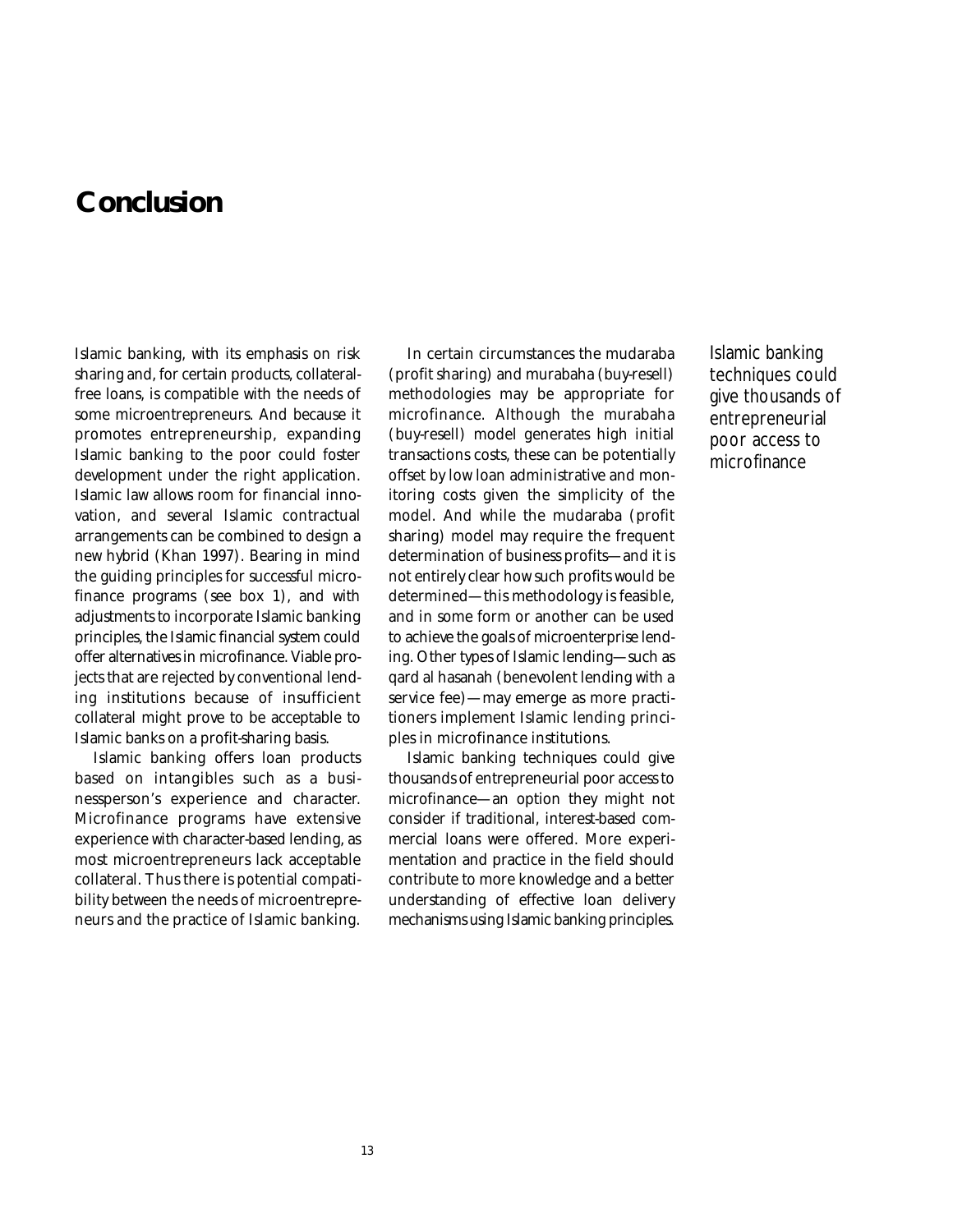## **Conclusion**

Islamic banking, with its emphasis on risk sharing and, for certain products, collateralfree loans, is compatible with the needs of some microentrepreneurs. And because it promotes entrepreneurship, expanding Islamic banking to the poor could foster development under the right application. Islamic law allows room for financial innovation, and several Islamic contractual arrangements can be combined to design a new hybrid (Khan 1997). Bearing in mind the guiding principles for successful microfinance programs (see box 1), and with adjustments to incorporate Islamic banking principles, the Islamic financial system could offer alternatives in microfinance. Viable projects that are rejected by conventional lending institutions because of insufficient collateral might prove to be acceptable to Islamic banks on a profit-sharing basis.

Islamic banking offers loan products based on intangibles such as a businessperson's experience and character. Microfinance programs have extensive experience with character-based lending, as most microentrepreneurs lack acceptable collateral. Thus there is potential compatibility between the needs of microentrepreneurs and the practice of Islamic banking.

In certain circumstances the mudaraba (profit sharing) and murabaha (buy-resell) methodologies may be appropriate for microfinance. Although the murabaha (buy-resell) model generates high initial transactions costs, these can be potentially offset by low loan administrative and monitoring costs given the simplicity of the model. And while the mudaraba (profit sharing) model may require the frequent determination of business profits—and it is not entirely clear how such profits would be determined—this methodology is feasible, and in some form or another can be used to achieve the goals of microenterprise lending. Other types of Islamic lending—such as qard al hasanah (benevolent lending with a service fee)—may emerge as more practitioners implement Islamic lending principles in microfinance institutions.

Islamic banking techniques could give thousands of entrepreneurial poor access to microfinance—an option they might not consider if traditional, interest-based commercial loans were offered. More experimentation and practice in the field should contribute to more knowledge and a better understanding of effective loan delivery mechanisms using Islamic banking principles.

Islamic banking techniques could give thousands of entrepreneurial poor access to microfinance